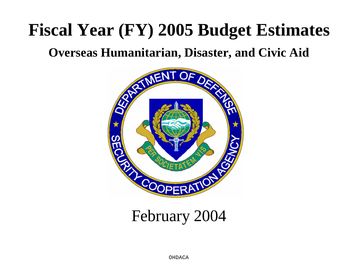# **Fiscal Year (FY) 2005 Budget Estimates**

## **Overseas Humanitarian, Disaster, and Civic Aid**



## February 2004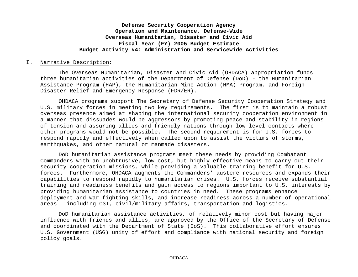#### I. Narrative Description:

The Overseas Humanitarian, Disaster and Civic Aid (OHDACA) appropriation funds three humanitarian activities of the Department of Defense (DoD) - the Humanitarian Assistance Program (HAP), the Humanitarian Mine Action (HMA) Program, and Foreign Disaster Relief and Emergency Response (FDR/ER).

OHDACA programs support The Secretary of Defense Security Cooperation Strategy and U.S. military forces in meeting two key requirements. The first is to maintain a robust overseas presence aimed at shaping the international security cooperation environment in a manner that dissuades would-be aggressors by promoting peace and stability in regions of tension and assuring allies and friendly nations through low-level contacts where other programs would not be possible. The second requirement is for U.S. forces to respond rapidly and effectively when called upon to assist the victims of storms, earthquakes, and other natural or manmade disasters.

DoD humanitarian assistance programs meet these needs by providing Combatant Commanders with an unobtrusive, low cost, but highly effective means to carry out their security cooperation missions, while providing a valuable training benefit for U.S. forces. Furthermore, OHDACA augments the Commanders' austere resources and expands their capabilities to respond rapidly to humanitarian crises. U.S. forces receive substantial training and readiness benefits and gain access to regions important to U.S. interests by providing humanitarian assistance to countries in need. These programs enhance deployment and war fighting skills, and increase readiness across a number of operational areas — including C3I, civil/military affairs, transportation and logistics.

DoD humanitarian assistance activities, of relatively minor cost but having major influence with friends and allies, are approved by the Office of the Secretary of Defense and coordinated with the Department of State (DoS). This collaborative effort ensures U.S. Government (USG) unity of effort and compliance with national security and foreign policy goals.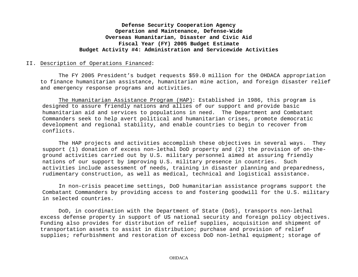#### II. Description of Operations Financed:

The FY 2005 President's budget requests \$59.0 million for the OHDACA appropriation to finance humanitarian assistance, humanitarian mine action, and foreign disaster relief and emergency response programs and activities.

The Humanitarian Assistance Program (HAP): Established in 1986, this program is designed to assure friendly nations and allies of our support and provide basic humanitarian aid and services to populations in need. The Department and Combatant Commanders seek to help avert political and humanitarian crises, promote democratic development and regional stability, and enable countries to begin to recover from conflicts.

The HAP projects and activities accomplish these objectives in several ways. They support (1) donation of excess non-lethal DoD property and (2) the provision of on-theground activities carried out by U.S. military personnel aimed at assuring friendly nations of our support by improving U.S. military presence in countries. Such activities include assessment of needs, training in disaster planning and preparedness, rudimentary construction, as well as medical, technical and logistical assistance.

In non-crisis peacetime settings, DoD humanitarian assistance programs support the Combatant Commanders by providing access to and fostering goodwill for the U.S. military in selected countries.

DoD, in coordination with the Department of State (DoS), transports non-lethal excess defense property in support of US national security and foreign policy objectives. Funding also provides for distribution of relief supplies, acquisition and shipment of transportation assets to assist in distribution; purchase and provision of relief supplies; refurbishment and restoration of excess DoD non-lethal equipment; storage of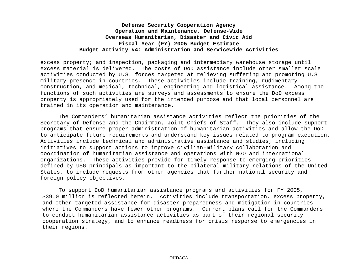excess property; and inspection, packaging and intermediary warehouse storage until excess material is delivered. The costs of DoD assistance include other smaller scale activities conducted by U.S. forces targeted at relieving suffering and promoting U.S military presence in countries. These activities include training, rudimentary construction, and medical, technical, engineering and logistical assistance. Among the functions of such activities are surveys and assessments to ensure the DoD excess property is appropriately used for the intended purpose and that local personnel are trained in its operation and maintenance.

The Commanders' humanitarian assistance activities reflect the priorities of the Secretary of Defense and the Chairman, Joint Chiefs of Staff. They also include support programs that ensure proper administration of humanitarian activities and allow the DoD to anticipate future requirements and understand key issues related to program execution. Activities include technical and administrative assistance and studies, including initiatives to support actions to improve civilian-military collaboration and coordination of humanitarian assistance and operations with NGO and international organizations. These activities provide for timely response to emerging priorities defined by USG principals as important to the bilateral military relations of the United States, to include requests from other agencies that further national security and foreign policy objectives.

To support DoD humanitarian assistance programs and activities for FY 2005, \$39.0 million is reflected herein. Activities include transportation, excess property, and other targeted assistance for disaster preparedness and mitigation in countries where the Commanders have fewer other programs. Current plans call for the Commanders to conduct humanitarian assistance activities as part of their regional security cooperation strategy, and to enhance readiness for crisis response to emergencies in their regions.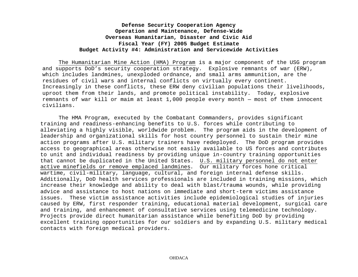The Humanitarian Mine Action (HMA) Program is a major component of the USG program and supports DoD's security cooperation strategy. Explosive remnants of war (ERW), which includes landmines, unexploded ordnance, and small arms ammunition, are the residues of civil wars and internal conflicts on virtually every continent. Increasingly in these conflicts, these ERW deny civilian populations their livelihoods, uproot them from their lands, and promote political instability. Today, explosive remnants of war kill or maim at least 1,000 people every month — most of them innocent civilians.

The HMA Program, executed by the Combatant Commanders, provides significant training and readiness-enhancing benefits to U.S. forces while contributing to alleviating a highly visible, worldwide problem. The program aids in the development of leadership and organizational skills for host country personnel to sustain their mine action programs after U.S. military trainers have redeployed. The DoD program provides access to geographical areas otherwise not easily available to US forces and contributes to unit and individual readiness by providing unique in-country training opportunities that cannot be duplicated in the United States. U.S. military personnel do not enter active minefields or remove emplaced landmines. Our military forces hone critical wartime, civil-military, language, cultural, and foreign internal defense skills. Additionally, DoD health services professionals are included in training missions, which increase their knowledge and ability to deal with blast/trauma wounds, while providing advice and assistance to host nations on immediate and short-term victims assistance issues. These victim assistance activities include epidemiological studies of injuries caused by ERW, first responder training, educational material development, surgical care and training, and enhancement of consultative services using telemedicine technology. Projects provide direct humanitarian assistance while benefiting DoD by providing excellent training opportunities for our soldiers and by expanding U.S. military medical contacts with foreign medical providers.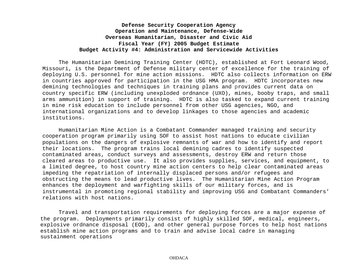The Humanitarian Demining Training Center (HDTC), established at Fort Leonard Wood, Missouri, is the Department of Defense military center of excellence for the training of deploying U.S. personnel for mine action missions. HDTC also collects information on ERW in countries approved for participation in the USG HMA program. HDTC incorporates new demining technologies and techniques in training plans and provides current data on country specific ERW (including unexploded ordnance (UXO), mines, booby traps, and small arms ammunition) in support of training. HDTC is also tasked to expand current training in mine risk education to include personnel from other USG agencies, NGO, and international organizations and to develop linkages to those agencies and academic institutions.

Humanitarian Mine Action is a Combatant Commander managed training and security cooperation program primarily using SOF to assist host nations to educate civilian populations on the dangers of explosive remnants of war and how to identify and report their locations. The program trains local demining cadres to identify suspected contaminated areas, conduct surveys and assessments, destroy ERW and return those cleared areas to productive use. It also provides supplies, services, and equipment, to a limited degree, to host country mine action centers to help clear contaminated areas impeding the repatriation of internally displaced persons and/or refugees and obstructing the means to lead productive lives. The Humanitarian Mine Action Program enhances the deployment and warfighting skills of our military forces, and is instrumental in promoting regional stability and improving USG and Combatant Commanders' relations with host nations.

Travel and transportation requirements for deploying forces are a major expense of the program. Deployments primarily consist of highly skilled SOF, medical, engineers, explosive ordnance disposal (EOD), and other general purpose forces to help host nations establish mine action programs and to train and advise local cadre in managing sustainment operations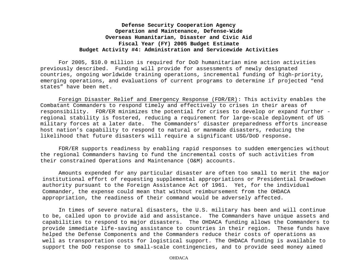For 2005, \$10.0 million is required for DoD humanitarian mine action activities previously described. Funding will provide for assessments of newly designated countries, ongoing worldwide training operations, incremental funding of high-priority, emerging operations, and evaluations of current programs to determine if projected "end states" have been met.

Foreign Disaster Relief and Emergency Response (FDR/ER): This activity enables the Combatant Commanders to respond timely and effectively to crises in their areas of responsibility. FDR/ER minimizes the potential for crises to develop or expand further regional stability is fostered, reducing a requirement for large-scale deployment of US military forces at a later date. The Commanders' disaster preparedness efforts increase host nation's capability to respond to natural or manmade disasters, reducing the likelihood that future disasters will require a significant USG/DoD response.

FDR/ER supports readiness by enabling rapid responses to sudden emergencies without the regional Commanders having to fund the incremental costs of such activities from their constrained Operations and Maintenance (O&M) accounts.

Amounts expended for any particular disaster are often too small to merit the major institutional effort of requesting supplemental appropriations or Presidential Drawdown authority pursuant to the Foreign Assistance Act of 1961. Yet, for the individual Commander, the expense could mean that without reimbursement from the OHDACA appropriation, the readiness of their command would be adversely affected.

In times of severe natural disasters, the U.S. military has been and will continue to be, called upon to provide aid and assistance. The Commanders have unique assets and capabilities to respond to major disasters. The OHDACA funding allows the Commanders to provide immediate life-saving assistance to countries in their region. These funds have helped the Defense Components and the Commanders reduce their costs of operations as well as transportation costs for logistical support. The OHDACA funding is available to support the DoD response to small-scale contingencies, and to provide seed money aimed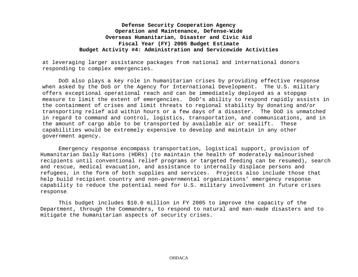at leveraging larger assistance packages from national and international donors responding to complex emergencies.

DoD also plays a key role in humanitarian crises by providing effective response when asked by the DoS or the Agency for International Development. The U.S. military offers exceptional operational reach and can be immediately deployed as a stopgap measure to limit the extent of emergencies. DoD's ability to respond rapidly assists in the containment of crises and limit threats to regional stability by donating and/or transporting relief aid within hours or a few days of a disaster. The DoD is unmatched in regard to command and control, logistics, transportation, and communications, and in the amount of cargo able to be transported by available air or sealift. These capabilities would be extremely expensive to develop and maintain in any other government agency.

Emergency response encompass transportation, logistical support, provision of Humanitarian Daily Rations (HDRs) (to maintain the health of moderately malnourished recipients until conventional relief programs or targeted feeding can be resumed), search and rescue, medical evacuation, and assistance to internally displace persons and refugees, in the form of both supplies and services. Projects also include those that help build recipient country and non-governmental organizations' emergency response capability to reduce the potential need for U.S. military involvement in future crises response.

This budget includes \$10.0 million in FY 2005 to improve the capacity of the Department, through the Commanders, to respond to natural and man-made disasters and to mitigate the humanitarian aspects of security crises.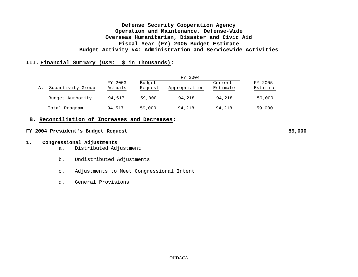#### **III. Financial Summary (O&M: \$ in Thousands):**

|    | Subactivity Group |                    |                   |               |                     |                     |
|----|-------------------|--------------------|-------------------|---------------|---------------------|---------------------|
| Α. |                   | FY 2003<br>Actuals | Budget<br>Request | Appropriation | Current<br>Estimate | FY 2005<br>Estimate |
|    | Budget Authority  | 94,517             | 59,000            | 94,218        | 94,218              | 59,000              |
|    | Total Program     | 94,517             | 59,000            | 94,218        | 94,218              | 59,000              |

#### **B. Reconciliation of Increases and Decreases:**

#### **FY 2004 President's Budget Request 59,000**

#### **1. Congressional Adjustments**

- a. Distributed Adjustment
- b. Undistributed Adjustments
- c. Adjustments to Meet Congressional Intent
- d. General Provisions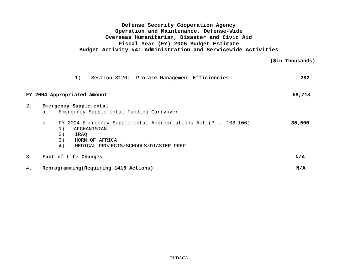**(\$in Thousands)**

|       | Section 8126: Prorate Management Efficiencies<br>1)                                                       | $-282$ |
|-------|-----------------------------------------------------------------------------------------------------------|--------|
|       | FY 2004 Appropriated Amount                                                                               | 58,718 |
| $2$ . | Emergency Supplemental                                                                                    |        |
|       | Emergency Supplemental Funding Carryover<br>a.                                                            |        |
|       | b.<br>FY 2004 Emergency Supplemental Appropriations Act (P.L. 108-106)<br>1)<br>AFGHANISTAN<br>2)<br>IRAO | 35,500 |
|       | 3)<br>HORN OF AFRICA                                                                                      |        |
|       | 4)<br>MEDICAL PROJECTS/SCHOOLS/DIASTER PREP                                                               |        |
| 3.    | Fact-of-Life Changes                                                                                      | N/A    |
| 4.    | Reprogramming (Requiring 1415 Actions)                                                                    | N/A    |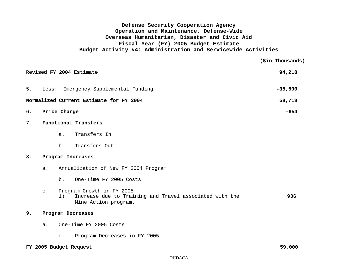|    | Revised FY 2004 Estimate                | 94,218    |
|----|-----------------------------------------|-----------|
| 5. | Less: Emergency Supplemental Funding    | $-35,500$ |
|    | Normalized Current Estimate for FY 2004 | 58,718    |
| б. | Price Change                            | -654      |

#### 7. **Functional Transfers**

- a. Transfers In
- b. Transfers Out

#### 8. **Program Increases**

| а. | Annualization of New FY 2004 Program |  |  |  |  |  |
|----|--------------------------------------|--|--|--|--|--|
|----|--------------------------------------|--|--|--|--|--|

- b. One-Time FY 2005 Costs
- c. Program Growth in FY 2005

| Increase due to Training and Travel associated with the |  |  | 936 |
|---------------------------------------------------------|--|--|-----|
| Mine Action program.                                    |  |  |     |

#### 9. **Program Decreases**

- a. One-Time FY 2005 Costs
	- c. Program Decreases in FY 2005

#### **FY 2005 Budget Request 59,000**

 **(\$in Thousands)**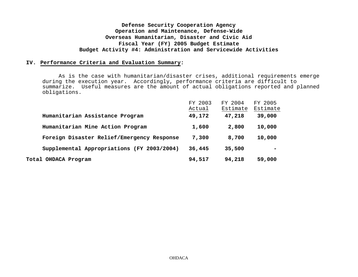#### **IV. Performance Criteria and Evaluation Summary:**

As is the case with humanitarian/disaster crises, additional requirements emerge during the execution year. Accordingly, performance criteria are difficult to summarize. Useful measures are the amount of actual obligations reported and planned obligations.

|                                            | FY 2003<br>Actual | FY 2004<br>Estimate | FY 2005<br>Estimate |
|--------------------------------------------|-------------------|---------------------|---------------------|
| Humanitarian Assistance Program            | 49,172            | 47,218              | 39,000              |
| Humanitarian Mine Action Program           | 1,600             | 2,800               | 10,000              |
| Foreign Disaster Relief/Emergency Response | 7,300             | 8,700               | 10,000              |
| Supplemental Appropriations (FY 2003/2004) | 36,445            | 35,500              |                     |
| Total OHDACA Program                       | 94,517            | 94,218              | 59,000              |